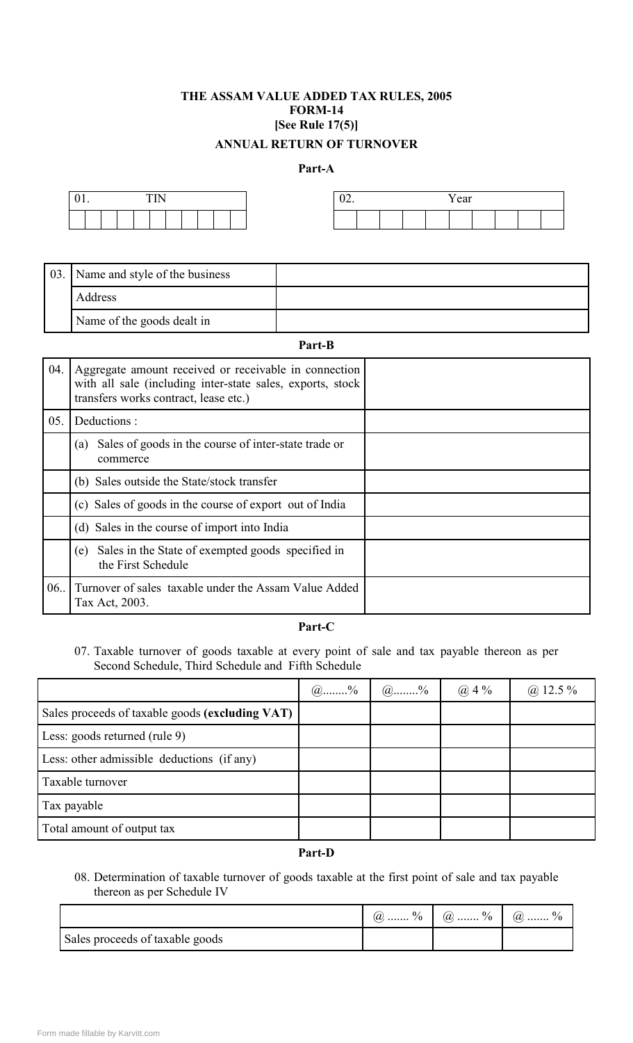#### THE ASSAM VALUE ADDED TAX RULES, 2005 FORM-14 [See Rule 17(5)] ANNUAL RETURN OF TURNOVER

#### Part-A

|  |  | -<br>$-$ |  |  |  |  |  |
|--|--|----------|--|--|--|--|--|
|  |  |          |  |  |  |  |  |

| 02.<br>Year |  |  |  |  |  |  |  |  |  |
|-------------|--|--|--|--|--|--|--|--|--|
|             |  |  |  |  |  |  |  |  |  |

| 03. | Name and style of the business |  |
|-----|--------------------------------|--|
|     | Address                        |  |
|     | Name of the goods dealt in     |  |

#### Part-B

| 04. | Aggregate amount received or receivable in connection<br>with all sale (including inter-state sales, exports, stock)<br>transfers works contract, lease etc.) |  |
|-----|---------------------------------------------------------------------------------------------------------------------------------------------------------------|--|
| 05. | Deductions:                                                                                                                                                   |  |
|     | Sales of goods in the course of inter-state trade or<br>(a)<br>commerce                                                                                       |  |
|     | (b) Sales outside the State/stock transfer                                                                                                                    |  |
|     | (c) Sales of goods in the course of export out of India                                                                                                       |  |
|     | (d) Sales in the course of import into India                                                                                                                  |  |
|     | Sales in the State of exempted goods specified in<br>(e)<br>the First Schedule                                                                                |  |
| 06. | Turnover of sales taxable under the Assam Value Added<br>Tax Act, 2003.                                                                                       |  |

#### Part-C

07. Taxable turnover of goods taxable at every point of sale and tax payable thereon as per Second Schedule, Third Schedule and Fifth Schedule

|                                                 | $(a)$ % | $@^{9}$ | $(a)$ 4 % | $@12.5\%$ |
|-------------------------------------------------|---------|---------|-----------|-----------|
| Sales proceeds of taxable goods (excluding VAT) |         |         |           |           |
| Less: goods returned (rule 9)                   |         |         |           |           |
| Less: other admissible deductions (if any)      |         |         |           |           |
| Taxable turnover                                |         |         |           |           |
| Tax payable                                     |         |         |           |           |
| Total amount of output tax                      |         |         |           |           |

## Part-D

08. Determination of taxable turnover of goods taxable at the first point of sale and tax payable thereon as per Schedule IV

|                                 | $\omega$ % | $\omega$ % | $\omega$ % |
|---------------------------------|------------|------------|------------|
| Sales proceeds of taxable goods |            |            |            |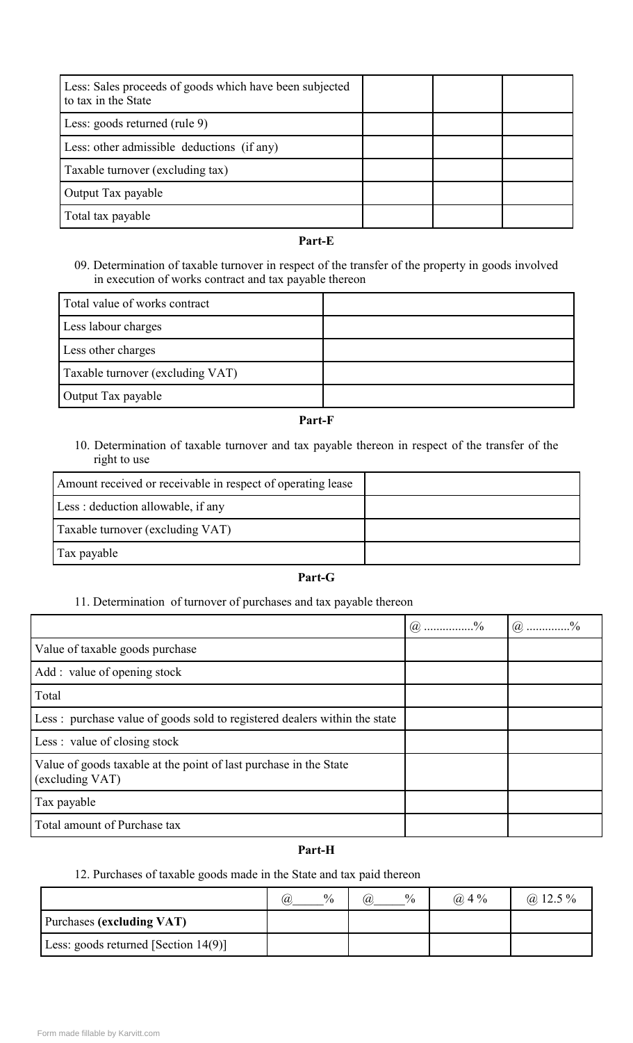| Less: Sales proceeds of goods which have been subjected<br>to tax in the State |  |  |
|--------------------------------------------------------------------------------|--|--|
| Less: goods returned (rule 9)                                                  |  |  |
| Less: other admissible deductions (if any)                                     |  |  |
| Taxable turnover (excluding tax)                                               |  |  |
| Output Tax payable                                                             |  |  |
| Total tax payable                                                              |  |  |

#### Part-E

09. Determination of taxable turnover in respect of the transfer of the property in goods involved in execution of works contract and tax payable thereon

| Total value of works contract    |  |
|----------------------------------|--|
| Less labour charges              |  |
| Less other charges               |  |
| Taxable turnover (excluding VAT) |  |
| Output Tax payable               |  |

Part-F

10. Determination of taxable turnover and tax payable thereon in respect of the transfer of the right to use

| Amount received or receivable in respect of operating lease |  |
|-------------------------------------------------------------|--|
| Less: deduction allowable, if any                           |  |
| Taxable turnover (excluding VAT)                            |  |
| I Tax payable                                               |  |

#### Part-G

## 11. Determination of turnover of purchases and tax payable thereon

|                                                                                      | $\omega$ % | $\omega$ % |
|--------------------------------------------------------------------------------------|------------|------------|
| Value of taxable goods purchase                                                      |            |            |
| Add: value of opening stock                                                          |            |            |
| Total                                                                                |            |            |
| Less: purchase value of goods sold to registered dealers within the state            |            |            |
| Less: value of closing stock                                                         |            |            |
| Value of goods taxable at the point of last purchase in the State<br>(excluding VAT) |            |            |
| Tax payable                                                                          |            |            |
| Total amount of Purchase tax                                                         |            |            |

## Part-H

## 12. Purchases of taxable goods made in the State and tax paid thereon

|                                      | $\frac{0}{0}$<br>(a) | $\frac{0}{0}$<br>@) | $(a)$ 4 % | ( <i>a</i> ) 12.5 $\%$ |
|--------------------------------------|----------------------|---------------------|-----------|------------------------|
| Purchases (excluding VAT)            |                      |                     |           |                        |
| Less: goods returned [Section 14(9)] |                      |                     |           |                        |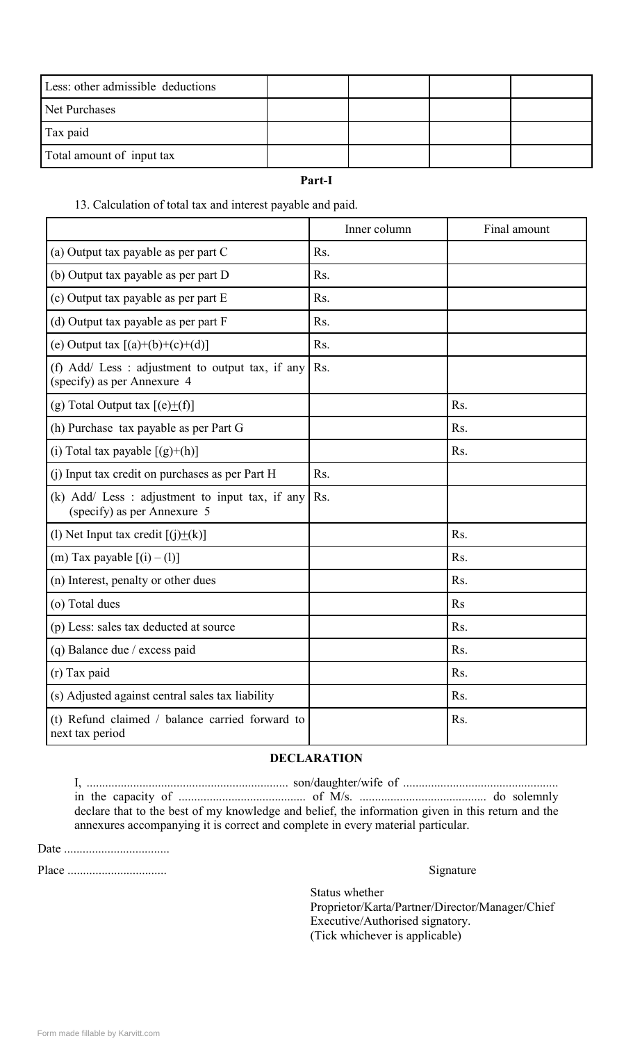| Less: other admissible deductions |  |  |
|-----------------------------------|--|--|
| Net Purchases                     |  |  |
| Tax paid                          |  |  |
| Total amount of input tax         |  |  |

#### Part-I

#### 13. Calculation of total tax and interest payable and paid.

|                                                                                  | Inner column | Final amount     |
|----------------------------------------------------------------------------------|--------------|------------------|
| (a) Output tax payable as per part C                                             | Rs.          |                  |
| (b) Output tax payable as per part D                                             | Rs.          |                  |
| (c) Output tax payable as per part E                                             | Rs.          |                  |
| (d) Output tax payable as per part F                                             | Rs.          |                  |
| (e) Output tax $[(a)+(b)+(c)+(d)]$                                               | Rs.          |                  |
| (f) Add/ Less: adjustment to output tax, if any<br>(specify) as per Annexure 4   | Rs.          |                  |
| (g) Total Output tax $[(e) \pm (f)]$                                             |              | Rs.              |
| (h) Purchase tax payable as per Part G                                           |              | Rs.              |
| (i) Total tax payable $[(g)+(h)]$                                                |              | Rs.              |
| (i) Input tax credit on purchases as per Part H                                  | Rs.          |                  |
| $(k)$ Add/ Less : adjustment to input tax, if any<br>(specify) as per Annexure 5 | Rs.          |                  |
| (1) Net Input tax credit $[(i) \pm (k)]$                                         |              | Rs.              |
| (m) Tax payable $[(i) - (l)]$                                                    |              | Rs.              |
| (n) Interest, penalty or other dues                                              |              | Rs.              |
| (o) Total dues                                                                   |              | R <sub>S</sub>   |
| (p) Less: sales tax deducted at source                                           |              | Rs.              |
| (q) Balance due / excess paid                                                    |              | Rs.              |
| (r) Tax paid                                                                     |              | Rs.              |
| (s) Adjusted against central sales tax liability                                 |              | Rs.              |
| (t) Refund claimed / balance carried forward to<br>next tax period               |              | R <sub>S</sub> . |

#### DECLARATION

I, ................................................................. son/daughter/wife of .................................................. in the capacity of  $\ldots$   $\ldots$   $\ldots$   $\ldots$   $\ldots$   $\ldots$   $\ldots$  of  $\bar{M}/s$ .  $\ldots$   $\ldots$   $\ldots$   $\ldots$   $\ldots$  do solemnly declare that to the best of my knowledge and belief, the information given in this return and the annexures accompanying it is correct and complete in every material particular.

Date ..................................

Place ................................ Signature

 Status whether Proprietor/Karta/Partner/Director/Manager/Chief Executive/Authorised signatory. (Tick whichever is applicable)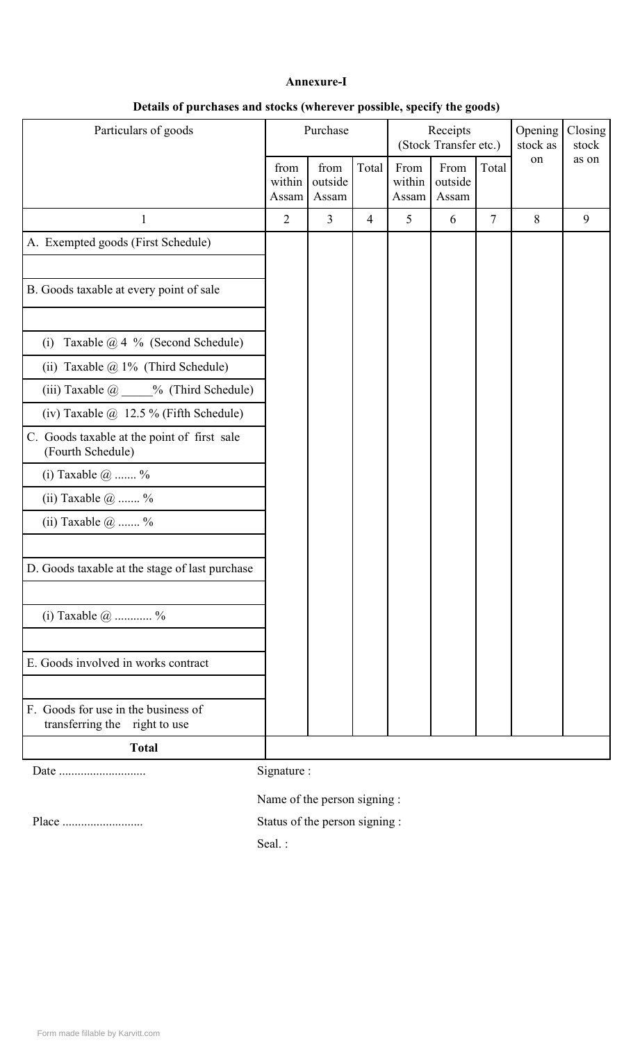## Annexure-I

| Particulars of goods                                                    |                         | Purchase                 |                | Receipts<br>(Stock Transfer etc.) |                          | Opening<br>stock as | Closing<br>stock |       |
|-------------------------------------------------------------------------|-------------------------|--------------------------|----------------|-----------------------------------|--------------------------|---------------------|------------------|-------|
|                                                                         | from<br>within<br>Assam | from<br>outside<br>Assam | Total          | From<br>within<br>Assam           | From<br>outside<br>Assam | Total               | on               | as on |
| $\mathbf{1}$                                                            | $\overline{2}$          | $\overline{3}$           | $\overline{4}$ | 5                                 | 6                        | $\overline{7}$      | 8                | 9     |
| A. Exempted goods (First Schedule)                                      |                         |                          |                |                                   |                          |                     |                  |       |
|                                                                         |                         |                          |                |                                   |                          |                     |                  |       |
| B. Goods taxable at every point of sale                                 |                         |                          |                |                                   |                          |                     |                  |       |
|                                                                         |                         |                          |                |                                   |                          |                     |                  |       |
| Taxable $@$ 4 % (Second Schedule)<br>(i)                                |                         |                          |                |                                   |                          |                     |                  |       |
| (ii) Taxable $@1\%$ (Third Schedule)                                    |                         |                          |                |                                   |                          |                     |                  |       |
| (iii) Taxable @ ____% (Third Schedule)                                  |                         |                          |                |                                   |                          |                     |                  |       |
| (iv) Taxable $@$ 12.5 % (Fifth Schedule)                                |                         |                          |                |                                   |                          |                     |                  |       |
| C. Goods taxable at the point of first sale<br>(Fourth Schedule)        |                         |                          |                |                                   |                          |                     |                  |       |
| (i) Taxable $@$ %                                                       |                         |                          |                |                                   |                          |                     |                  |       |
| (ii) Taxable $@$ $\%$                                                   |                         |                          |                |                                   |                          |                     |                  |       |
| (ii) Taxable $@$ %                                                      |                         |                          |                |                                   |                          |                     |                  |       |
|                                                                         |                         |                          |                |                                   |                          |                     |                  |       |
| D. Goods taxable at the stage of last purchase                          |                         |                          |                |                                   |                          |                     |                  |       |
|                                                                         |                         |                          |                |                                   |                          |                     |                  |       |
| (i) Taxable $@$ %                                                       |                         |                          |                |                                   |                          |                     |                  |       |
|                                                                         |                         |                          |                |                                   |                          |                     |                  |       |
| E. Goods involved in works contract                                     |                         |                          |                |                                   |                          |                     |                  |       |
|                                                                         |                         |                          |                |                                   |                          |                     |                  |       |
| F. Goods for use in the business of<br>transferring the<br>right to use |                         |                          |                |                                   |                          |                     |                  |       |
| <b>Total</b>                                                            |                         |                          |                |                                   |                          |                     |                  |       |

## Details of purchases and stocks (wherever possible, specify the goods)

Date ............................ Signature :

Name of the person signing :

Place .......................... Status of the person signing :

Seal. :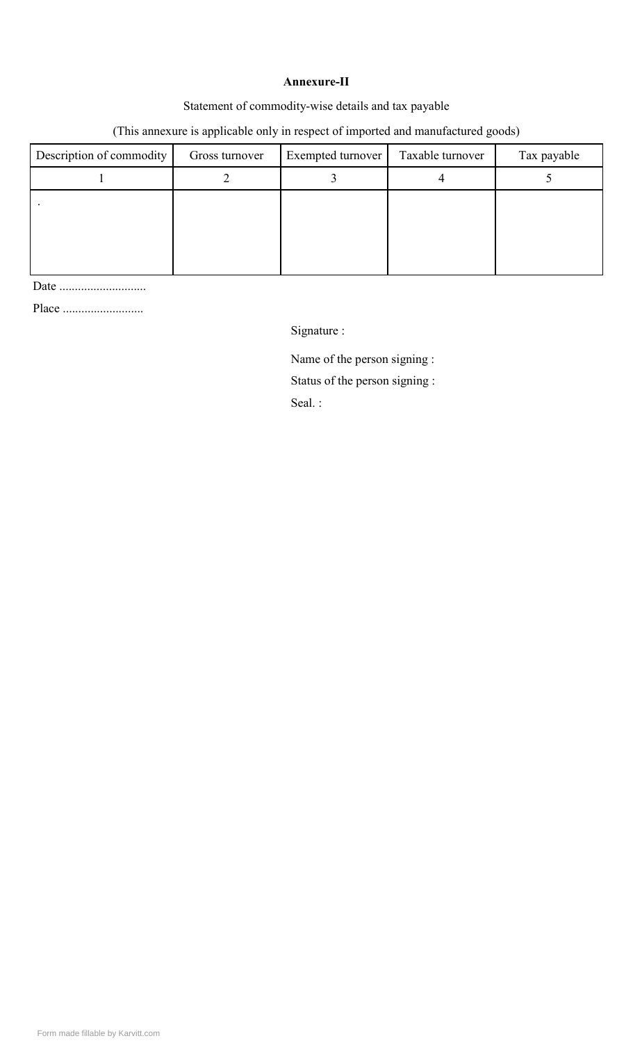#### Annexure-II

## Statement of commodity-wise details and tax payable

## (This annexure is applicable only in respect of imported and manufactured goods)

| Description of commodity | Gross turnover | Exempted turnover | Taxable turnover | Tax payable |
|--------------------------|----------------|-------------------|------------------|-------------|
|                          |                |                   |                  |             |
|                          |                |                   |                  |             |
|                          |                |                   |                  |             |
|                          |                |                   |                  |             |
|                          |                |                   |                  |             |

Date ................................

Place ..........................

Signature :

Name of the person signing :

Status of the person signing :

Seal. :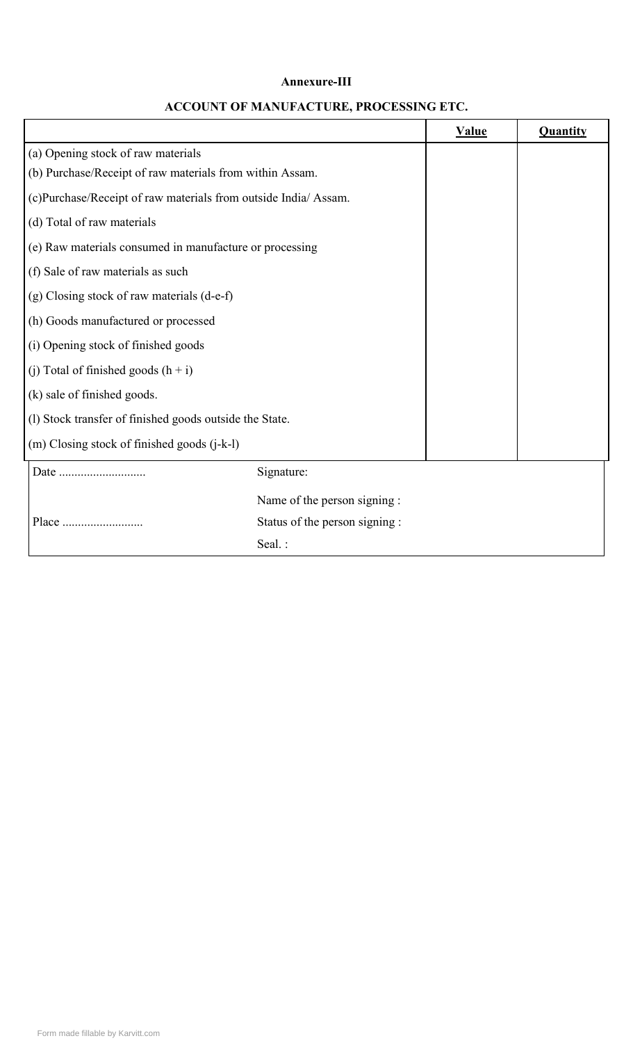#### Annexure-III

|                                                                |                               | <b>Value</b> | Quantity |
|----------------------------------------------------------------|-------------------------------|--------------|----------|
| (a) Opening stock of raw materials                             |                               |              |          |
| (b) Purchase/Receipt of raw materials from within Assam.       |                               |              |          |
| (c)Purchase/Receipt of raw materials from outside India/Assam. |                               |              |          |
| (d) Total of raw materials                                     |                               |              |          |
| (e) Raw materials consumed in manufacture or processing        |                               |              |          |
| (f) Sale of raw materials as such                              |                               |              |          |
| (g) Closing stock of raw materials (d-e-f)                     |                               |              |          |
| (h) Goods manufactured or processed                            |                               |              |          |
| (i) Opening stock of finished goods                            |                               |              |          |
| (j) Total of finished goods $(h + i)$                          |                               |              |          |
| (k) sale of finished goods.                                    |                               |              |          |
| (1) Stock transfer of finished goods outside the State.        |                               |              |          |
| (m) Closing stock of finished goods (j-k-l)                    |                               |              |          |
|                                                                | Signature:                    |              |          |
|                                                                | Name of the person signing :  |              |          |
|                                                                | Status of the person signing: |              |          |
|                                                                | Seal.:                        |              |          |

## ACCOUNT OF MANUFACTURE, PROCESSING ETC.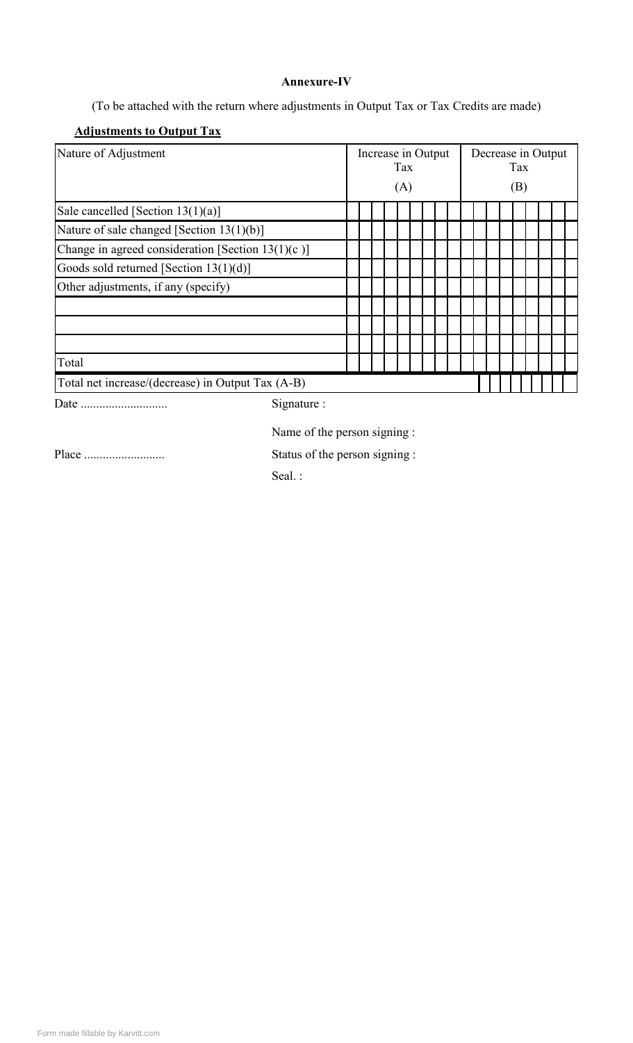## Annexure-IV

(To be attached with the return where adjustments in Output Tax or Tax Credits are made)

# Adjustments to Output Tax

| Nature of Adjustment                                 |  | Increase in Output<br>Tax |  |     |  |  |  |  | Decrease in Output<br>Tax |  |  |     |  |  |  |  |  |
|------------------------------------------------------|--|---------------------------|--|-----|--|--|--|--|---------------------------|--|--|-----|--|--|--|--|--|
|                                                      |  |                           |  | (A) |  |  |  |  |                           |  |  | (B) |  |  |  |  |  |
| Sale cancelled [Section $13(1)(a)$ ]                 |  |                           |  |     |  |  |  |  |                           |  |  |     |  |  |  |  |  |
| Nature of sale changed [Section 13(1)(b)]            |  |                           |  |     |  |  |  |  |                           |  |  |     |  |  |  |  |  |
| Change in agreed consideration [Section $13(1)(c)$ ] |  |                           |  |     |  |  |  |  |                           |  |  |     |  |  |  |  |  |
| Goods sold returned [Section 13(1)(d)]               |  |                           |  |     |  |  |  |  |                           |  |  |     |  |  |  |  |  |
| Other adjustments, if any (specify)                  |  |                           |  |     |  |  |  |  |                           |  |  |     |  |  |  |  |  |
|                                                      |  |                           |  |     |  |  |  |  |                           |  |  |     |  |  |  |  |  |
|                                                      |  |                           |  |     |  |  |  |  |                           |  |  |     |  |  |  |  |  |
|                                                      |  |                           |  |     |  |  |  |  |                           |  |  |     |  |  |  |  |  |
| Total                                                |  |                           |  |     |  |  |  |  |                           |  |  |     |  |  |  |  |  |
| Total net increase/(decrease) in Output Tax (A-B)    |  |                           |  |     |  |  |  |  |                           |  |  |     |  |  |  |  |  |

Date ............................ Signature :

Name of the person signing :

Place .......................... Status of the person signing :

Seal. :